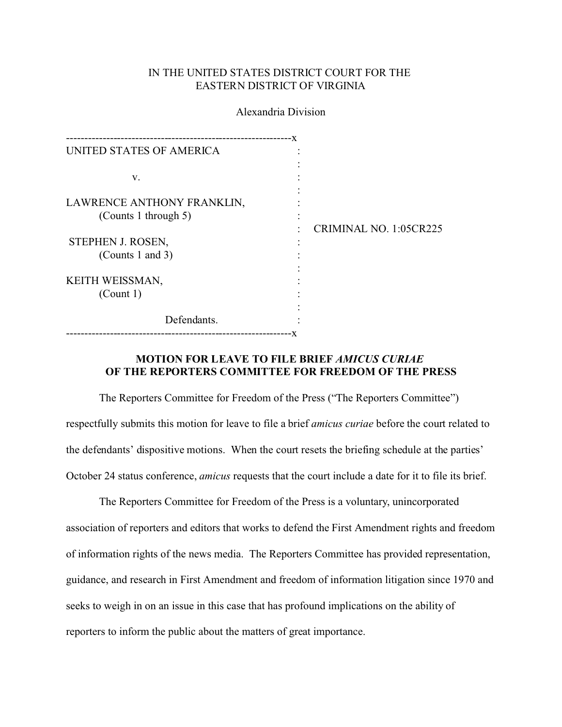## IN THE UNITED STATES DISTRICT COURT FOR THE EASTERN DISTRICT OF VIRGINIA

Alexandria Division

| UNITED STATES OF AMERICA                           |                        |
|----------------------------------------------------|------------------------|
| v.                                                 |                        |
| LAWRENCE ANTHONY FRANKLIN,<br>(Counts 1 through 5) |                        |
| STEPHEN J. ROSEN,                                  | CRIMINAL NO. 1:05CR225 |
| (Counts 1 and 3)                                   |                        |
| KEITH WEISSMAN,                                    |                        |
| (Count 1)                                          |                        |
| Defendants.                                        |                        |
|                                                    |                        |

## **MOTION FOR LEAVE TO FILE BRIEF** *AMICUS CURIAE*  **OF THE REPORTERS COMMITTEE FOR FREEDOM OF THE PRESS**

The Reporters Committee for Freedom of the Press ("The Reporters Committee") respectfully submits this motion for leave to file a brief *amicus curiae* before the court related to the defendants' dispositive motions. When the court resets the briefing schedule at the parties' October 24 status conference, *amicus* requests that the court include a date for it to file its brief.

The Reporters Committee for Freedom of the Press is a voluntary, unincorporated association of reporters and editors that works to defend the First Amendment rights and freedom of information rights of the news media. The Reporters Committee has provided representation, guidance, and research in First Amendment and freedom of information litigation since 1970 and seeks to weigh in on an issue in this case that has profound implications on the ability of reporters to inform the public about the matters of great importance.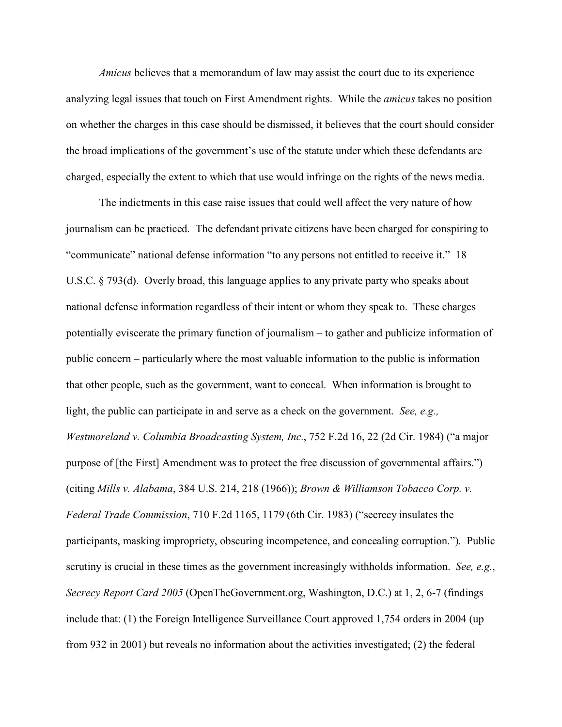*Amicus* believes that a memorandum of law may assist the court due to its experience analyzing legal issues that touch on First Amendment rights. While the *amicus* takes no position on whether the charges in this case should be dismissed, it believes that the court should consider the broad implications of the government's use of the statute under which these defendants are charged, especially the extent to which that use would infringe on the rights of the news media.

The indictments in this case raise issues that could well affect the very nature of how journalism can be practiced. The defendant private citizens have been charged for conspiring to "communicate" national defense information "to any persons not entitled to receive it." 18 U.S.C. § 793(d). Overly broad, this language applies to any private party who speaks about national defense information regardless of their intent or whom they speak to. These charges potentially eviscerate the primary function of journalism – to gather and publicize information of public concern – particularly where the most valuable information to the public is information that other people, such as the government, want to conceal. When information is brought to light, the public can participate in and serve as a check on the government. *See, e.g., Westmoreland v. Columbia Broadcasting System, Inc.*, 752 F.2d 16, 22 (2d Cir. 1984) ("a major purpose of [the First] Amendment was to protect the free discussion of governmental affairs.") (citing *Mills v. Alabama*, 384 U.S. 214, 218 (1966)); *Brown & Williamson Tobacco Corp. v. Federal Trade Commission*, 710 F.2d 1165, 1179 (6th Cir. 1983) ("secrecy insulates the participants, masking impropriety, obscuring incompetence, and concealing corruption."). Public scrutiny is crucial in these times as the government increasingly withholds information. *See, e.g.*, *Secrecy Report Card 2005* (OpenTheGovernment.org, Washington, D.C.) at 1, 2, 6-7 (findings include that: (1) the Foreign Intelligence Surveillance Court approved 1,754 orders in 2004 (up from 932 in 2001) but reveals no information about the activities investigated; (2) the federal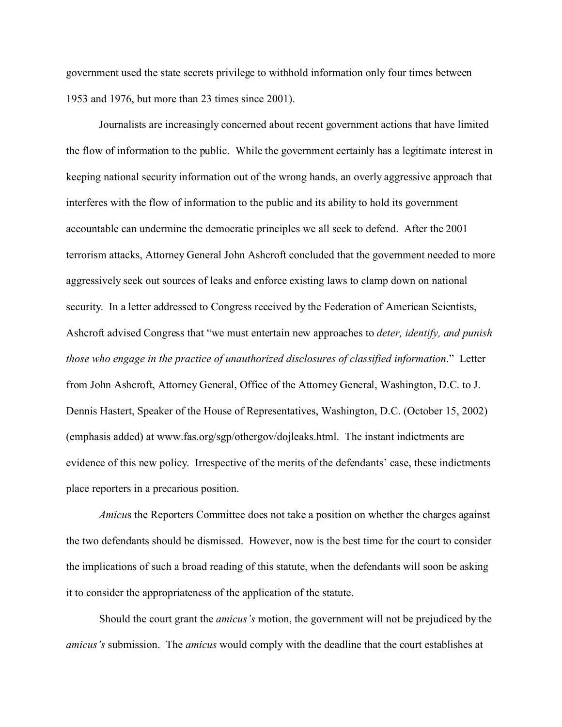government used the state secrets privilege to withhold information only four times between 1953 and 1976, but more than 23 times since 2001).

Journalists are increasingly concerned about recent government actions that have limited the flow of information to the public. While the government certainly has a legitimate interest in keeping national security information out of the wrong hands, an overly aggressive approach that interferes with the flow of information to the public and its ability to hold its government accountable can undermine the democratic principles we all seek to defend. After the 2001 terrorism attacks, Attorney General John Ashcroft concluded that the government needed to more aggressively seek out sources of leaks and enforce existing laws to clamp down on national security. In a letter addressed to Congress received by the Federation of American Scientists, Ashcroft advised Congress that "we must entertain new approaches to *deter, identify, and punish those who engage in the practice of unauthorized disclosures of classified information*." Letter from John Ashcroft, Attorney General, Office of the Attorney General, Washington, D.C. to J. Dennis Hastert, Speaker of the House of Representatives, Washington, D.C. (October 15, 2002) (emphasis added) at www.fas.org/sgp/othergov/dojleaks.html. The instant indictments are evidence of this new policy. Irrespective of the merits of the defendants' case, these indictments place reporters in a precarious position.

*Amicus* the Reporters Committee does not take a position on whether the charges against the two defendants should be dismissed. However, now is the best time for the court to consider the implications of such a broad reading of this statute, when the defendants will soon be asking it to consider the appropriateness of the application of the statute.

Should the court grant the *amicus's* motion, the government will not be prejudiced by the *amicus's* submission. The *amicus* would comply with the deadline that the court establishes at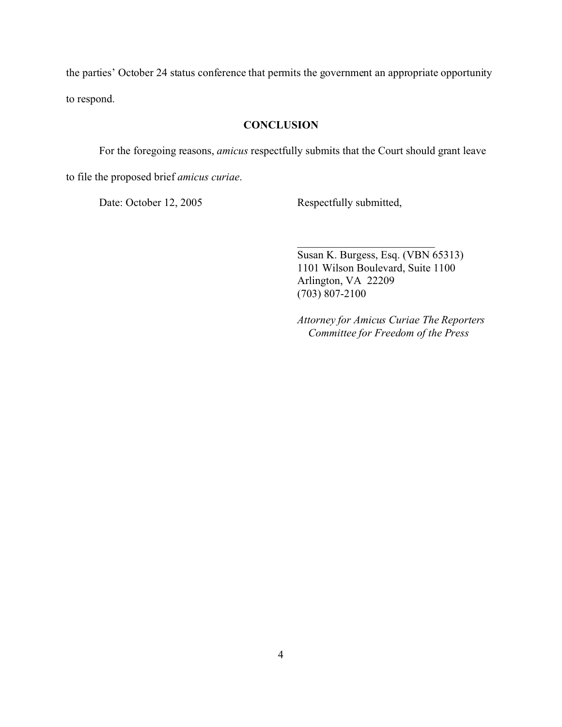the parties' October 24 status conference that permits the government an appropriate opportunity to respond.

## **CONCLUSION**

For the foregoing reasons, *amicus* respectfully submits that the Court should grant leave

to file the proposed brief *amicus curiae*.

Date: October 12, 2005 Respectfully submitted,

Susan K. Burgess, Esq. (VBN 65313) 1101 Wilson Boulevard, Suite 1100 Arlington, VA 22209 (703) 807-2100

\_\_\_\_\_\_\_\_\_\_\_\_\_\_\_\_\_\_\_\_\_\_\_\_\_

*Attorney for Amicus Curiae The Reporters Committee for Freedom of the Press*